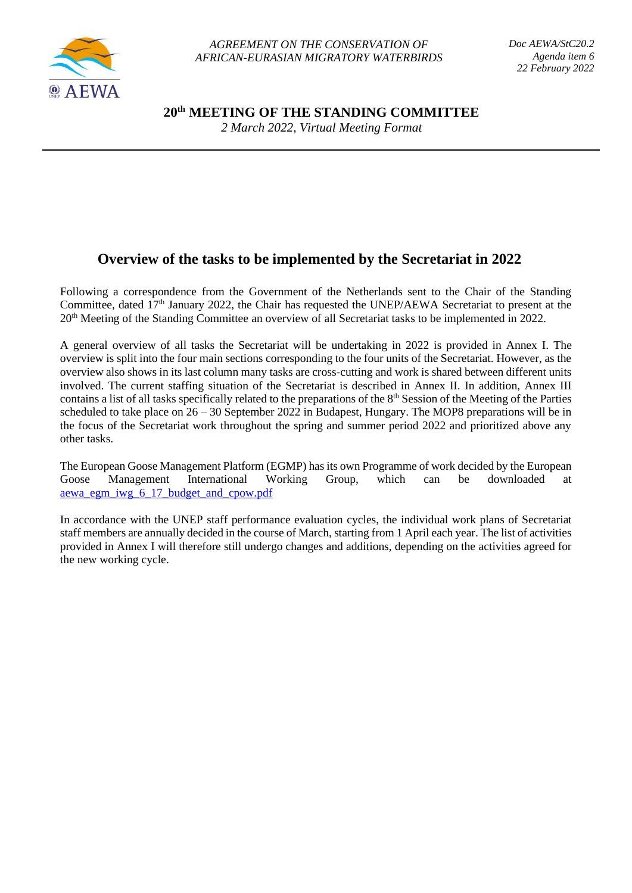

**20th MEETING OF THE STANDING COMMITTEE**

*2 March 2022, Virtual Meeting Format*

# **Overview of the tasks to be implemented by the Secretariat in 2022**

Following a correspondence from the Government of the Netherlands sent to the Chair of the Standing Committee, dated 17<sup>th</sup> January 2022, the Chair has requested the UNEP/AEWA Secretariat to present at the 20th Meeting of the Standing Committee an overview of all Secretariat tasks to be implemented in 2022.

A general overview of all tasks the Secretariat will be undertaking in 2022 is provided in Annex I. The overview is split into the four main sections corresponding to the four units of the Secretariat. However, as the overview also shows in its last column many tasks are cross-cutting and work is shared between different units involved. The current staffing situation of the Secretariat is described in Annex II. In addition, Annex III contains a list of all tasks specifically related to the preparations of the  $8<sup>th</sup>$  Session of the Meeting of the Parties scheduled to take place on 26 – 30 September 2022 in Budapest, Hungary. The MOP8 preparations will be in the focus of the Secretariat work throughout the spring and summer period 2022 and prioritized above any other tasks.

The European Goose Management Platform (EGMP) has its own Programme of work decided by the European Goose Management International Working Group, which can be downloaded at [aewa\\_egm\\_iwg\\_6\\_17\\_budget\\_and\\_cpow.pdf](https://egmp.aewa.info/sites/default/files/meeting_files/documents/aewa_egm_iwg_6_17_budget_and_cpow.pdf)

In accordance with the UNEP staff performance evaluation cycles, the individual work plans of Secretariat staff members are annually decided in the course of March, starting from 1 April each year. The list of activities provided in Annex I will therefore still undergo changes and additions, depending on the activities agreed for the new working cycle.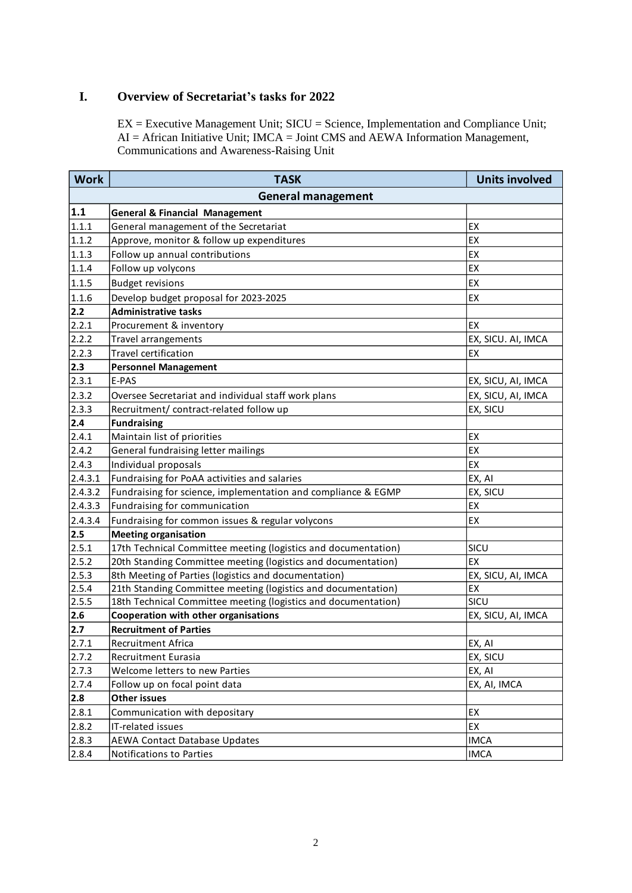## **I. Overview of Secretariat's tasks for 2022**

EX = Executive Management Unit; SICU = Science, Implementation and Compliance Unit; AI = African Initiative Unit; IMCA = Joint CMS and AEWA Information Management, Communications and Awareness-Raising Unit

| <b>Work</b> | <b>TASK</b>                                                    | <b>Units involved</b> |
|-------------|----------------------------------------------------------------|-----------------------|
|             | <b>General management</b>                                      |                       |
| 1.1         | <b>General &amp; Financial Management</b>                      |                       |
| 1.1.1       | General management of the Secretariat                          | EX                    |
| 1.1.2       | Approve, monitor & follow up expenditures                      | EX                    |
| 1.1.3       | Follow up annual contributions                                 | EX                    |
| 1.1.4       | Follow up volycons                                             | EX                    |
| 1.1.5       | <b>Budget revisions</b>                                        | EX                    |
| 1.1.6       | Develop budget proposal for 2023-2025                          | EX                    |
| $2.2$       | <b>Administrative tasks</b>                                    |                       |
| 2.2.1       | Procurement & inventory                                        | EX                    |
| 2.2.2       | Travel arrangements                                            | EX, SICU. AI, IMCA    |
| 2.2.3       | Travel certification                                           | EX                    |
| 2.3         | <b>Personnel Management</b>                                    |                       |
| 2.3.1       | E-PAS                                                          | EX, SICU, AI, IMCA    |
| 2.3.2       | Oversee Secretariat and individual staff work plans            | EX, SICU, AI, IMCA    |
| 2.3.3       | Recruitment/ contract-related follow up                        | EX, SICU              |
| 2.4         | <b>Fundraising</b>                                             |                       |
| 2.4.1       | Maintain list of priorities                                    | EX                    |
| 2.4.2       | General fundraising letter mailings                            | EX                    |
| 2.4.3       | Individual proposals                                           | EX                    |
| 2.4.3.1     | Fundraising for PoAA activities and salaries                   | EX, AI                |
| 2.4.3.2     | Fundraising for science, implementation and compliance & EGMP  | EX, SICU              |
| 2.4.3.3     | Fundraising for communication                                  | EX                    |
| 2.4.3.4     | Fundraising for common issues & regular volycons               | EX                    |
| 2.5         | <b>Meeting organisation</b>                                    |                       |
| 2.5.1       | 17th Technical Committee meeting (logistics and documentation) | SICU                  |
| 2.5.2       | 20th Standing Committee meeting (logistics and documentation)  | EX                    |
| 2.5.3       | 8th Meeting of Parties (logistics and documentation)           | EX, SICU, AI, IMCA    |
| 2.5.4       | 21th Standing Committee meeting (logistics and documentation)  | EX                    |
| 2.5.5       | 18th Technical Committee meeting (logistics and documentation) | SICU                  |
| 2.6         | Cooperation with other organisations                           | EX, SICU, AI, IMCA    |
| 2.7         | <b>Recruitment of Parties</b>                                  |                       |
| 2.7.1       | Recruitment Africa                                             | EX, AI                |
| 2.7.2       | Recruitment Eurasia                                            | EX, SICU              |
| 2.7.3       | Welcome letters to new Parties                                 | EX, AI                |
| 2.7.4       | Follow up on focal point data                                  | EX, AI, IMCA          |
| 2.8         | <b>Other issues</b>                                            |                       |
| 2.8.1       | Communication with depositary                                  | EX                    |
| 2.8.2       | IT-related issues                                              | EX                    |
| 2.8.3       | <b>AEWA Contact Database Updates</b>                           | <b>IMCA</b>           |
| 2.8.4       | Notifications to Parties                                       | <b>IMCA</b>           |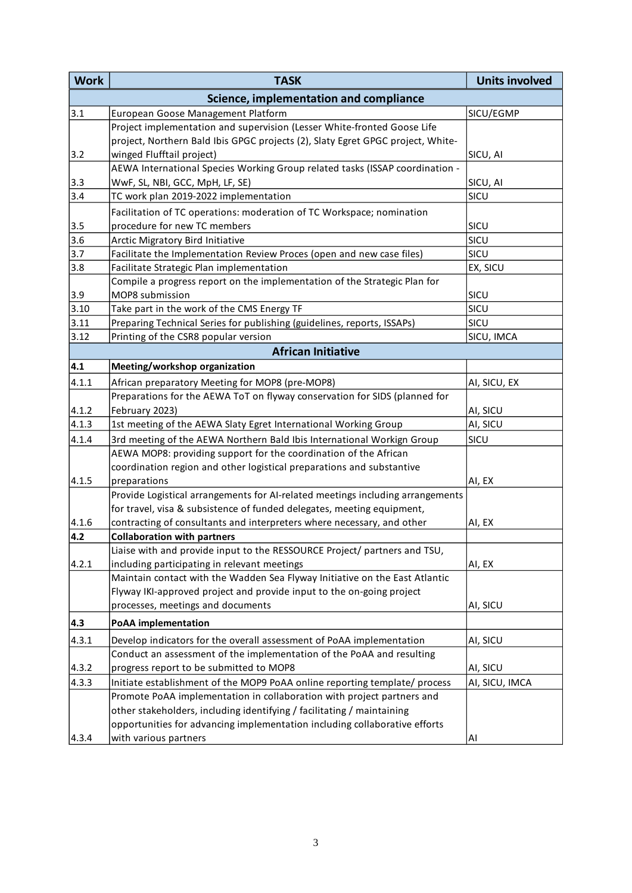| <b>Work</b> | <b>TASK</b>                                                                     | <b>Units involved</b> |  |  |  |
|-------------|---------------------------------------------------------------------------------|-----------------------|--|--|--|
|             | Science, implementation and compliance                                          |                       |  |  |  |
| 3.1         | European Goose Management Platform                                              | SICU/EGMP             |  |  |  |
|             | Project implementation and supervision (Lesser White-fronted Goose Life         |                       |  |  |  |
|             | project, Northern Bald Ibis GPGC projects (2), Slaty Egret GPGC project, White- |                       |  |  |  |
| 3.2         | winged Flufftail project)                                                       | SICU, AI              |  |  |  |
|             | AEWA International Species Working Group related tasks (ISSAP coordination -    |                       |  |  |  |
| 3.3         | WwF, SL, NBI, GCC, MpH, LF, SE)                                                 | SICU, AI              |  |  |  |
| 3.4         | TC work plan 2019-2022 implementation                                           | SICU                  |  |  |  |
|             | Facilitation of TC operations: moderation of TC Workspace; nomination           |                       |  |  |  |
| 3.5         | procedure for new TC members                                                    | SICU                  |  |  |  |
| 3.6         | Arctic Migratory Bird Initiative                                                | SICU                  |  |  |  |
| 3.7         | Facilitate the Implementation Review Proces (open and new case files)           | SICU                  |  |  |  |
| 3.8         | Facilitate Strategic Plan implementation                                        | EX, SICU              |  |  |  |
|             | Compile a progress report on the implementation of the Strategic Plan for       |                       |  |  |  |
| 3.9         | MOP8 submission                                                                 | SICU                  |  |  |  |
| 3.10        | Take part in the work of the CMS Energy TF                                      | SICU                  |  |  |  |
| 3.11        | Preparing Technical Series for publishing (guidelines, reports, ISSAPs)         | SICU                  |  |  |  |
| 3.12        | Printing of the CSR8 popular version                                            | SICU, IMCA            |  |  |  |
|             | <b>African Initiative</b>                                                       |                       |  |  |  |
| 4.1         | Meeting/workshop organization                                                   |                       |  |  |  |
| 4.1.1       | African preparatory Meeting for MOP8 (pre-MOP8)                                 | AI, SICU, EX          |  |  |  |
|             | Preparations for the AEWA ToT on flyway conservation for SIDS (planned for      |                       |  |  |  |
| 4.1.2       | February 2023)                                                                  | AI, SICU              |  |  |  |
| 4.1.3       | 1st meeting of the AEWA Slaty Egret International Working Group                 | AI, SICU              |  |  |  |
| 4.1.4       | 3rd meeting of the AEWA Northern Bald Ibis International Workign Group          | SICU                  |  |  |  |
|             | AEWA MOP8: providing support for the coordination of the African                |                       |  |  |  |
|             | coordination region and other logistical preparations and substantive           |                       |  |  |  |
| 4.1.5       | preparations                                                                    | AI, EX                |  |  |  |
|             | Provide Logistical arrangements for AI-related meetings including arrangements  |                       |  |  |  |
|             | for travel, visa & subsistence of funded delegates, meeting equipment,          |                       |  |  |  |
| 4.1.6       | contracting of consultants and interpreters where necessary, and other          | AI, EX                |  |  |  |
| 4.2         | <b>Collaboration with partners</b>                                              |                       |  |  |  |
|             | Liaise with and provide input to the RESSOURCE Project/ partners and TSU,       |                       |  |  |  |
| 4.2.1       | including participating in relevant meetings                                    | AI, EX                |  |  |  |
|             | Maintain contact with the Wadden Sea Flyway Initiative on the East Atlantic     |                       |  |  |  |
|             | Flyway IKI-approved project and provide input to the on-going project           |                       |  |  |  |
|             | processes, meetings and documents                                               | AI, SICU              |  |  |  |
| 4.3         | <b>PoAA</b> implementation                                                      |                       |  |  |  |
| 4.3.1       | Develop indicators for the overall assessment of PoAA implementation            | AI, SICU              |  |  |  |
|             | Conduct an assessment of the implementation of the PoAA and resulting           |                       |  |  |  |
| 4.3.2       | progress report to be submitted to MOP8                                         | AI, SICU              |  |  |  |
| 4.3.3       | Initiate establishment of the MOP9 PoAA online reporting template/ process      | AI, SICU, IMCA        |  |  |  |
|             | Promote PoAA implementation in collaboration with project partners and          |                       |  |  |  |
|             | other stakeholders, including identifying / facilitating / maintaining          |                       |  |  |  |
|             | opportunities for advancing implementation including collaborative efforts      |                       |  |  |  |
| 4.3.4       | with various partners                                                           | Al                    |  |  |  |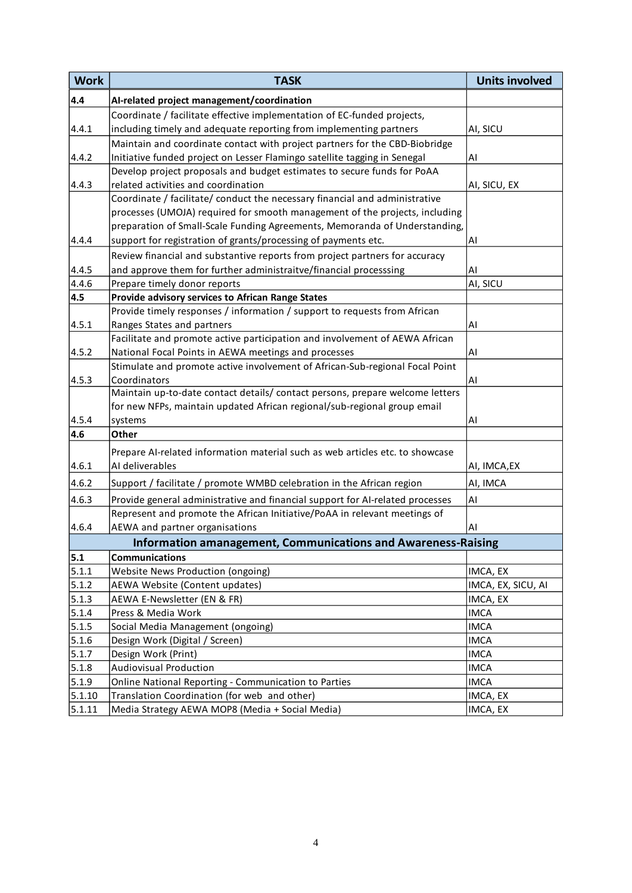| <b>Work</b> | <b>TASK</b>                                                                   | <b>Units involved</b> |
|-------------|-------------------------------------------------------------------------------|-----------------------|
| 4.4         | Al-related project management/coordination                                    |                       |
|             | Coordinate / facilitate effective implementation of EC-funded projects,       |                       |
| 4.4.1       | including timely and adequate reporting from implementing partners            | AI, SICU              |
|             | Maintain and coordinate contact with project partners for the CBD-Biobridge   |                       |
| 4.4.2       | Initiative funded project on Lesser Flamingo satellite tagging in Senegal     | AI                    |
|             | Develop project proposals and budget estimates to secure funds for PoAA       |                       |
| 4.4.3       | related activities and coordination                                           | AI, SICU, EX          |
|             | Coordinate / facilitate/ conduct the necessary financial and administrative   |                       |
|             | processes (UMOJA) required for smooth management of the projects, including   |                       |
|             | preparation of Small-Scale Funding Agreements, Memoranda of Understanding,    |                       |
| 4.4.4       | support for registration of grants/processing of payments etc.                | AI                    |
|             | Review financial and substantive reports from project partners for accuracy   |                       |
| 4.4.5       | and approve them for further administraitve/financial processsing             | AI                    |
| 4.4.6       | Prepare timely donor reports                                                  | AI, SICU              |
| 4.5         | Provide advisory services to African Range States                             |                       |
|             | Provide timely responses / information / support to requests from African     |                       |
| 4.5.1       | Ranges States and partners                                                    | AI                    |
|             | Facilitate and promote active participation and involvement of AEWA African   |                       |
| 4.5.2       | National Focal Points in AEWA meetings and processes                          | AI                    |
|             | Stimulate and promote active involvement of African-Sub-regional Focal Point  |                       |
| 4.5.3       | Coordinators                                                                  | AI                    |
|             | Maintain up-to-date contact details/ contact persons, prepare welcome letters |                       |
|             | for new NFPs, maintain updated African regional/sub-regional group email      |                       |
| 4.5.4       | systems                                                                       | AI                    |
| 4.6         | Other                                                                         |                       |
|             | Prepare AI-related information material such as web articles etc. to showcase |                       |
| 4.6.1       | AI deliverables                                                               | AI, IMCA, EX          |
| 4.6.2       | Support / facilitate / promote WMBD celebration in the African region         | AI, IMCA              |
| 4.6.3       | Provide general administrative and financial support for AI-related processes | AI                    |
|             | Represent and promote the African Initiative/PoAA in relevant meetings of     |                       |
| 4.6.4       | AEWA and partner organisations                                                | AI                    |
|             | <b>Information amanagement, Communications and Awareness-Raising</b>          |                       |
| 5.1         | <b>Communications</b>                                                         |                       |
| 5.1.1       | <b>Website News Production (ongoing)</b>                                      | IMCA, EX              |
| 5.1.2       | AEWA Website (Content updates)                                                | IMCA, EX, SICU, AI    |
| 5.1.3       | AEWA E-Newsletter (EN & FR)                                                   | IMCA, EX              |
| 5.1.4       | Press & Media Work                                                            | <b>IMCA</b>           |
| 5.1.5       | Social Media Management (ongoing)                                             | <b>IMCA</b>           |
| 5.1.6       | Design Work (Digital / Screen)                                                | <b>IMCA</b>           |
| 5.1.7       | Design Work (Print)                                                           | <b>IMCA</b>           |
| 5.1.8       | <b>Audiovisual Production</b>                                                 | <b>IMCA</b>           |
| 5.1.9       | Online National Reporting - Communication to Parties                          | <b>IMCA</b>           |
| 5.1.10      | Translation Coordination (for web and other)                                  | IMCA, EX              |
| 5.1.11      | Media Strategy AEWA MOP8 (Media + Social Media)                               | IMCA, EX              |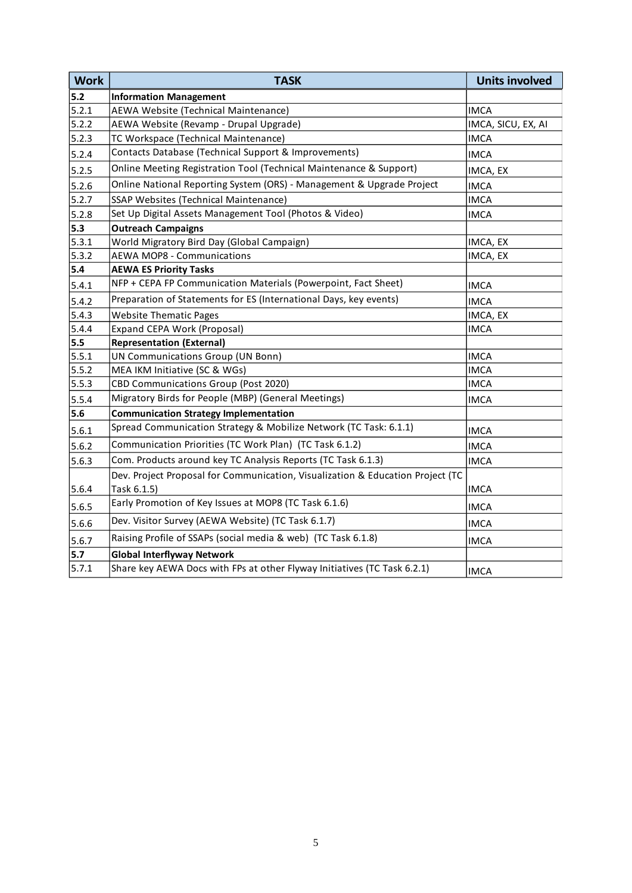| <b>Work</b> | <b>TASK</b>                                                                    | <b>Units involved</b> |
|-------------|--------------------------------------------------------------------------------|-----------------------|
| $5.2$       | <b>Information Management</b>                                                  |                       |
| 5.2.1       | AEWA Website (Technical Maintenance)                                           | <b>IMCA</b>           |
| 5.2.2       | AEWA Website (Revamp - Drupal Upgrade)                                         | IMCA, SICU, EX, AI    |
| 5.2.3       | TC Workspace (Technical Maintenance)                                           | <b>IMCA</b>           |
| 5.2.4       | Contacts Database (Technical Support & Improvements)                           | IMCA                  |
| 5.2.5       | Online Meeting Registration Tool (Technical Maintenance & Support)             | IMCA, EX              |
| 5.2.6       | Online National Reporting System (ORS) - Management & Upgrade Project          | <b>IMCA</b>           |
| 5.2.7       | SSAP Websites (Technical Maintenance)                                          | <b>IMCA</b>           |
| 5.2.8       | Set Up Digital Assets Management Tool (Photos & Video)                         | <b>IMCA</b>           |
| 5.3         | <b>Outreach Campaigns</b>                                                      |                       |
| 5.3.1       | World Migratory Bird Day (Global Campaign)                                     | IMCA, EX              |
| 5.3.2       | <b>AEWA MOP8 - Communications</b>                                              | IMCA, EX              |
| 5.4         | <b>AEWA ES Priority Tasks</b>                                                  |                       |
| 5.4.1       | NFP + CEPA FP Communication Materials (Powerpoint, Fact Sheet)                 | <b>IMCA</b>           |
| 5.4.2       | Preparation of Statements for ES (International Days, key events)              | <b>IMCA</b>           |
| 5.4.3       | <b>Website Thematic Pages</b>                                                  | IMCA, EX              |
| 5.4.4       | Expand CEPA Work (Proposal)                                                    | IMCA                  |
| 5.5         | <b>Representation (External)</b>                                               |                       |
| 5.5.1       | UN Communications Group (UN Bonn)                                              | <b>IMCA</b>           |
| 5.5.2       | MEA IKM Initiative (SC & WGs)                                                  | <b>IMCA</b>           |
| 5.5.3       | CBD Communications Group (Post 2020)                                           | <b>IMCA</b>           |
| 5.5.4       | Migratory Birds for People (MBP) (General Meetings)                            | <b>IMCA</b>           |
| 5.6         | <b>Communication Strategy Implementation</b>                                   |                       |
| 5.6.1       | Spread Communication Strategy & Mobilize Network (TC Task: 6.1.1)              | <b>IMCA</b>           |
| 5.6.2       | Communication Priorities (TC Work Plan) (TC Task 6.1.2)                        | <b>IMCA</b>           |
| 5.6.3       | Com. Products around key TC Analysis Reports (TC Task 6.1.3)                   | <b>IMCA</b>           |
|             | Dev. Project Proposal for Communication, Visualization & Education Project (TC |                       |
| 5.6.4       | Task 6.1.5)                                                                    | <b>IMCA</b>           |
| 5.6.5       | Early Promotion of Key Issues at MOP8 (TC Task 6.1.6)                          | <b>IMCA</b>           |
| 5.6.6       | Dev. Visitor Survey (AEWA Website) (TC Task 6.1.7)                             | <b>IMCA</b>           |
| 5.6.7       | Raising Profile of SSAPs (social media & web) (TC Task 6.1.8)                  | <b>IMCA</b>           |
| 5.7         | <b>Global Interflyway Network</b>                                              |                       |
| 5.7.1       | Share key AEWA Docs with FPs at other Flyway Initiatives (TC Task 6.2.1)       | <b>IMCA</b>           |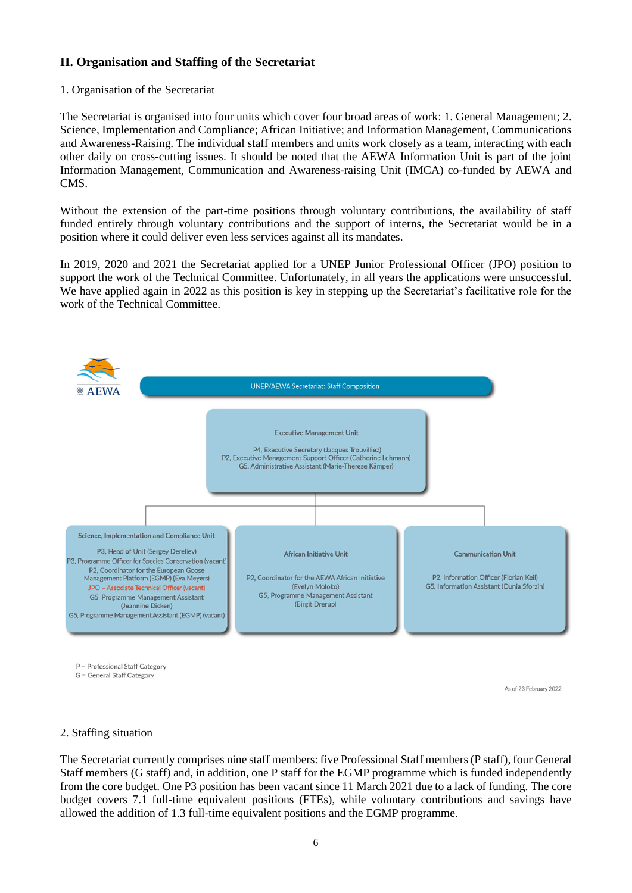# **II. Organisation and Staffing of the Secretariat**

#### 1. Organisation of the Secretariat

The Secretariat is organised into four units which cover four broad areas of work: 1. General Management; 2. Science, Implementation and Compliance; African Initiative; and Information Management, Communications and Awareness-Raising. The individual staff members and units work closely as a team, interacting with each other daily on cross-cutting issues. It should be noted that the AEWA Information Unit is part of the joint Information Management, Communication and Awareness-raising Unit (IMCA) co-funded by AEWA and CMS.

Without the extension of the part-time positions through voluntary contributions, the availability of staff funded entirely through voluntary contributions and the support of interns, the Secretariat would be in a position where it could deliver even less services against all its mandates.

In 2019, 2020 and 2021 the Secretariat applied for a UNEP Junior Professional Officer (JPO) position to support the work of the Technical Committee. Unfortunately, in all years the applications were unsuccessful. We have applied again in 2022 as this position is key in stepping up the Secretariat's facilitative role for the work of the Technical Committee.



P = Professional Staff Category G = General Staff Category

As of 23 February 2022

#### 2. Staffing situation

The Secretariat currently comprises nine staff members: five Professional Staff members (P staff), four General Staff members (G staff) and, in addition, one P staff for the EGMP programme which is funded independently from the core budget. One P3 position has been vacant since 11 March 2021 due to a lack of funding. The core budget covers 7.1 full-time equivalent positions (FTEs), while voluntary contributions and savings have allowed the addition of 1.3 full-time equivalent positions and the EGMP programme.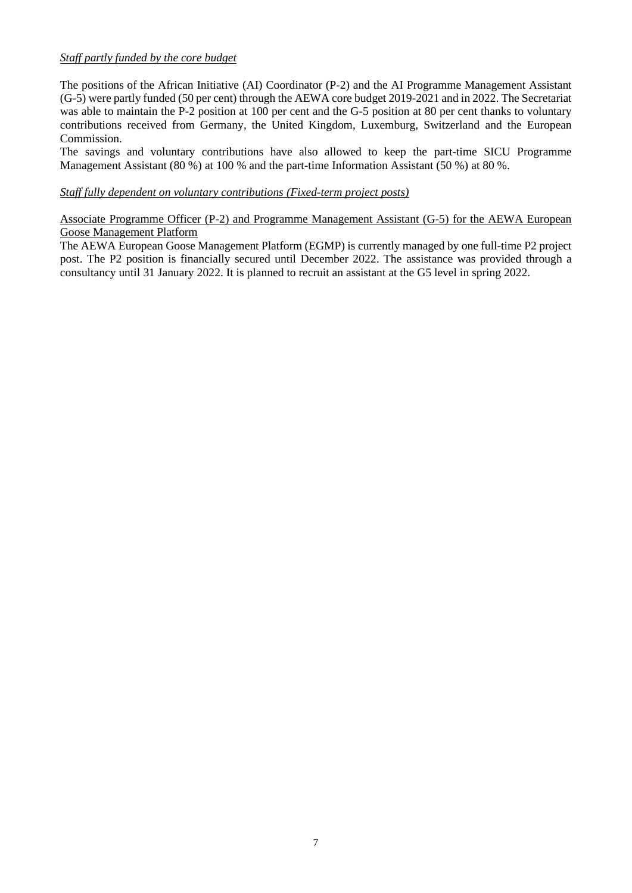### *Staff partly funded by the core budget*

The positions of the African Initiative (AI) Coordinator (P-2) and the AI Programme Management Assistant (G-5) were partly funded (50 per cent) through the AEWA core budget 2019-2021 and in 2022. The Secretariat was able to maintain the P-2 position at 100 per cent and the G-5 position at 80 per cent thanks to voluntary contributions received from Germany, the United Kingdom, Luxemburg, Switzerland and the European Commission.

The savings and voluntary contributions have also allowed to keep the part-time SICU Programme Management Assistant (80 %) at 100 % and the part-time Information Assistant (50 %) at 80 %.

## *Staff fully dependent on voluntary contributions (Fixed-term project posts)*

Associate Programme Officer (P-2) and Programme Management Assistant (G-5) for the AEWA European Goose Management Platform

The AEWA European Goose Management Platform (EGMP) is currently managed by one full-time P2 project post. The P2 position is financially secured until December 2022. The assistance was provided through a consultancy until 31 January 2022. It is planned to recruit an assistant at the G5 level in spring 2022.